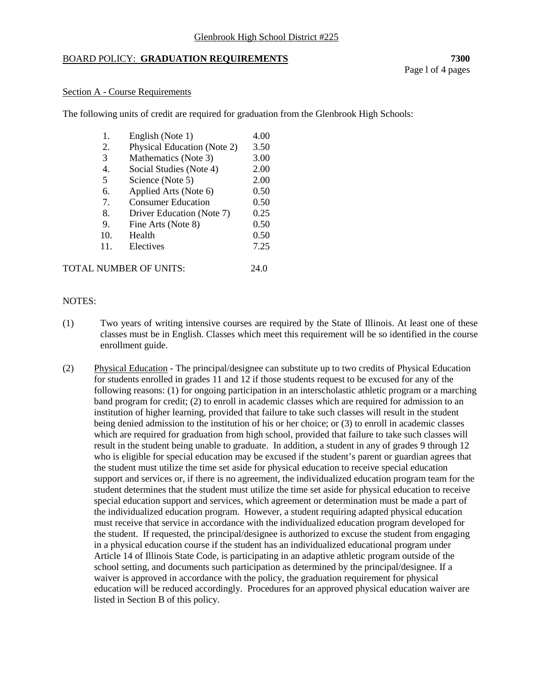### Glenbrook High School District #225

# BOARD POLICY: **GRADUATION REQUIREMENTS 7300**

### Section A - Course Requirements

The following units of credit are required for graduation from the Glenbrook High Schools:

| 1.  | English (Note 1)            | 4.00 |
|-----|-----------------------------|------|
| 2.  | Physical Education (Note 2) | 3.50 |
| 3   | Mathematics (Note 3)        | 3.00 |
| 4.  | Social Studies (Note 4)     | 2.00 |
| 5   | Science (Note 5)            | 2.00 |
| 6.  | Applied Arts (Note 6)       | 0.50 |
| 7.  | <b>Consumer Education</b>   | 0.50 |
| 8.  | Driver Education (Note 7)   | 0.25 |
| 9.  | Fine Arts (Note 8)          | 0.50 |
| 10. | Health                      | 0.50 |
| 11. | Electives                   | 7.25 |
|     |                             |      |

| TOTAL NUMBER OF UNITS: | 24.0 |
|------------------------|------|
|                        |      |

### NOTES:

- (1) Two years of writing intensive courses are required by the State of Illinois. At least one of these classes must be in English. Classes which meet this requirement will be so identified in the course enrollment guide.
- (2) Physical Education The principal/designee can substitute up to two credits of Physical Education for students enrolled in grades 11 and 12 if those students request to be excused for any of the following reasons: (1) for ongoing participation in an interscholastic athletic program or a marching band program for credit; (2) to enroll in academic classes which are required for admission to an institution of higher learning, provided that failure to take such classes will result in the student being denied admission to the institution of his or her choice; or (3) to enroll in academic classes which are required for graduation from high school, provided that failure to take such classes will result in the student being unable to graduate. In addition, a student in any of grades 9 through 12 who is eligible for special education may be excused if the student's parent or guardian agrees that the student must utilize the time set aside for physical education to receive special education support and services or, if there is no agreement, the individualized education program team for the student determines that the student must utilize the time set aside for physical education to receive special education support and services, which agreement or determination must be made a part of the individualized education program. However, a student requiring adapted physical education must receive that service in accordance with the individualized education program developed for the student. If requested, the principal/designee is authorized to excuse the student from engaging in a physical education course if the student has an individualized educational program under Article 14 of Illinois State Code, is participating in an adaptive athletic program outside of the school setting, and documents such participation as determined by the principal/designee. If a waiver is approved in accordance with the policy, the graduation requirement for physical education will be reduced accordingly. Procedures for an approved physical education waiver are listed in Section B of this policy.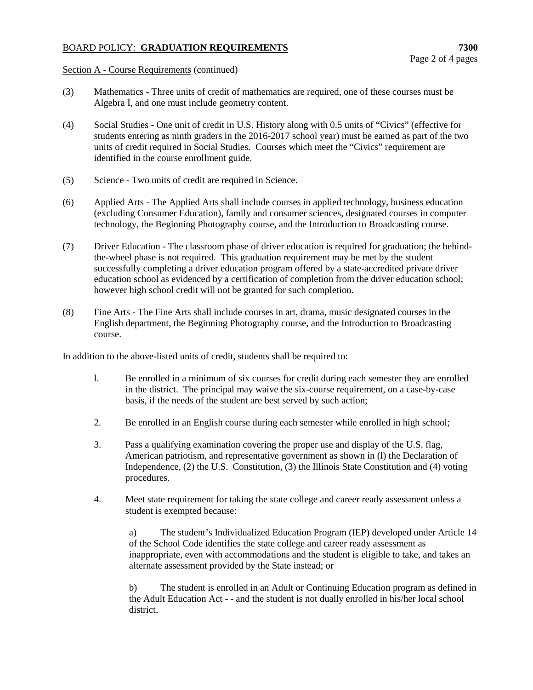# BOARD POLICY: **GRADUATION REQUIREMENTS 7300**

Section A - Course Requirements (continued)

- (3) Mathematics Three units of credit of mathematics are required, one of these courses must be Algebra I, and one must include geometry content.
- (4) Social Studies One unit of credit in U.S. History along with 0.5 units of "Civics" (effective for students entering as ninth graders in the 2016-2017 school year) must be earned as part of the two units of credit required in Social Studies. Courses which meet the "Civics" requirement are identified in the course enrollment guide.
- (5) Science Two units of credit are required in Science.
- (6) Applied Arts The Applied Arts shall include courses in applied technology, business education (excluding Consumer Education), family and consumer sciences, designated courses in computer technology, the Beginning Photography course, and the Introduction to Broadcasting course.
- (7) Driver Education The classroom phase of driver education is required for graduation; the behindthe-wheel phase is not required. This graduation requirement may be met by the student successfully completing a driver education program offered by a state-accredited private driver education school as evidenced by a certification of completion from the driver education school; however high school credit will not be granted for such completion.
- (8) Fine Arts The Fine Arts shall include courses in art, drama, music designated courses in the English department, the Beginning Photography course, and the Introduction to Broadcasting course.

In addition to the above-listed units of credit, students shall be required to:

- l. Be enrolled in a minimum of six courses for credit during each semester they are enrolled in the district. The principal may waive the six-course requirement, on a case-by-case basis, if the needs of the student are best served by such action;
- 2. Be enrolled in an English course during each semester while enrolled in high school;
- 3. Pass a qualifying examination covering the proper use and display of the U.S. flag, American patriotism, and representative government as shown in (l) the Declaration of Independence, (2) the U.S. Constitution, (3) the Illinois State Constitution and (4) voting procedures.
- 4. Meet state requirement for taking the state college and career ready assessment unless a student is exempted because:

a) The student's Individualized Education Program (IEP) developed under Article 14 of the School Code identifies the state college and career ready assessment as inappropriate, even with accommodations and the student is eligible to take, and takes an alternate assessment provided by the State instead; or

b) The student is enrolled in an Adult or Continuing Education program as defined in the Adult Education Act - - and the student is not dually enrolled in his/her local school district.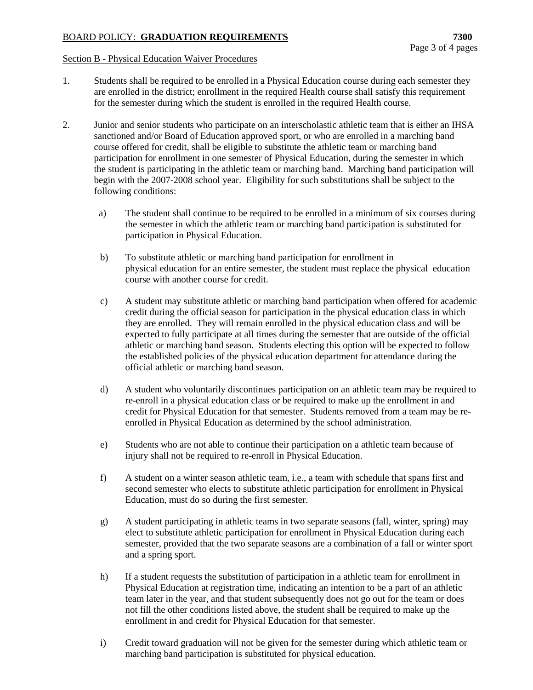# BOARD POLICY: **GRADUATION REQUIREMENTS 7300**

#### Section B - Physical Education Waiver Procedures

- 1. Students shall be required to be enrolled in a Physical Education course during each semester they are enrolled in the district; enrollment in the required Health course shall satisfy this requirement for the semester during which the student is enrolled in the required Health course.
- 2. Junior and senior students who participate on an interscholastic athletic team that is either an IHSA sanctioned and/or Board of Education approved sport, or who are enrolled in a marching band course offered for credit, shall be eligible to substitute the athletic team or marching band participation for enrollment in one semester of Physical Education, during the semester in which the student is participating in the athletic team or marching band. Marching band participation will begin with the 2007-2008 school year. Eligibility for such substitutions shall be subject to the following conditions:
	- a) The student shall continue to be required to be enrolled in a minimum of six courses during the semester in which the athletic team or marching band participation is substituted for participation in Physical Education.
	- b) To substitute athletic or marching band participation for enrollment in physical education for an entire semester, the student must replace the physical education course with another course for credit.
	- c) A student may substitute athletic or marching band participation when offered for academic credit during the official season for participation in the physical education class in which they are enrolled. They will remain enrolled in the physical education class and will be expected to fully participate at all times during the semester that are outside of the official athletic or marching band season. Students electing this option will be expected to follow the established policies of the physical education department for attendance during the official athletic or marching band season.
	- d) A student who voluntarily discontinues participation on an athletic team may be required to re-enroll in a physical education class or be required to make up the enrollment in and credit for Physical Education for that semester. Students removed from a team may be reenrolled in Physical Education as determined by the school administration.
	- e) Students who are not able to continue their participation on a athletic team because of injury shall not be required to re-enroll in Physical Education.
	- f) A student on a winter season athletic team, i.e., a team with schedule that spans first and second semester who elects to substitute athletic participation for enrollment in Physical Education, must do so during the first semester.
	- g) A student participating in athletic teams in two separate seasons (fall, winter, spring) may elect to substitute athletic participation for enrollment in Physical Education during each semester, provided that the two separate seasons are a combination of a fall or winter sport and a spring sport.
	- h) If a student requests the substitution of participation in a athletic team for enrollment in Physical Education at registration time, indicating an intention to be a part of an athletic team later in the year, and that student subsequently does not go out for the team or does not fill the other conditions listed above, the student shall be required to make up the enrollment in and credit for Physical Education for that semester.
	- i) Credit toward graduation will not be given for the semester during which athletic team or marching band participation is substituted for physical education.